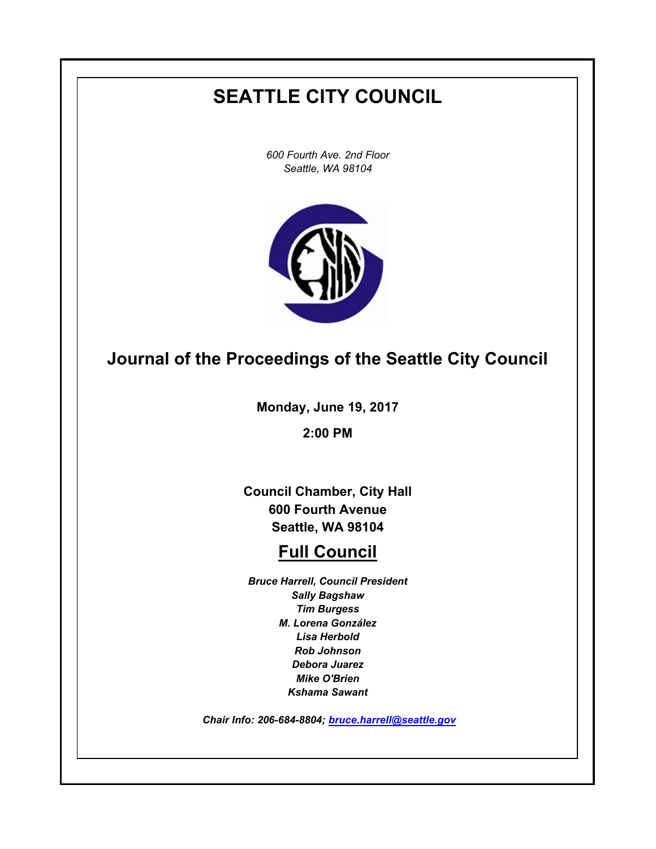# **SEATTLE CITY COUNCIL**

*600 Fourth Ave. 2nd Floor Seattle, WA 98104*



# **Journal of the Proceedings of the Seattle City Council**

**Monday, June 19, 2017**

**2:00 PM**

**Council Chamber, City Hall 600 Fourth Avenue Seattle, WA 98104**

# **Full Council**

*Bruce Harrell, Council President Sally Bagshaw Tim Burgess M. Lorena González Lisa Herbold Rob Johnson Debora Juarez Mike O'Brien Kshama Sawant*

 *Chair Info: 206-684-8804; [bruce.harrell@seattle.gov](mailto:bruce.harrell@seattle.gov)*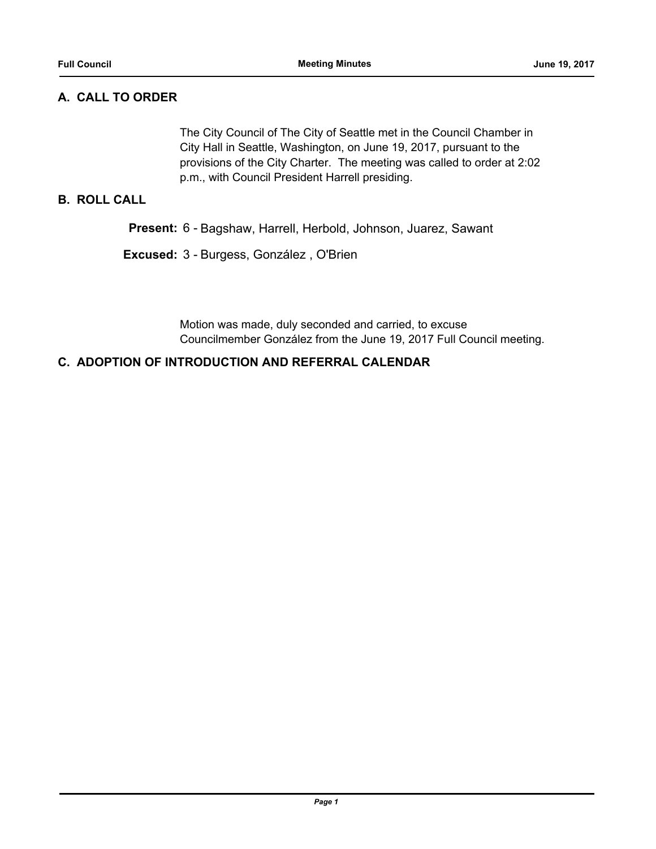## **A. CALL TO ORDER**

The City Council of The City of Seattle met in the Council Chamber in City Hall in Seattle, Washington, on June 19, 2017, pursuant to the provisions of the City Charter. The meeting was called to order at 2:02 p.m., with Council President Harrell presiding.

## **B. ROLL CALL**

**Present:** 6 - Bagshaw, Harrell, Herbold, Johnson, Juarez, Sawant

**Excused:** 3 - Burgess, González , O'Brien

Motion was made, duly seconded and carried, to excuse Councilmember González from the June 19, 2017 Full Council meeting.

### **C. ADOPTION OF INTRODUCTION AND REFERRAL CALENDAR**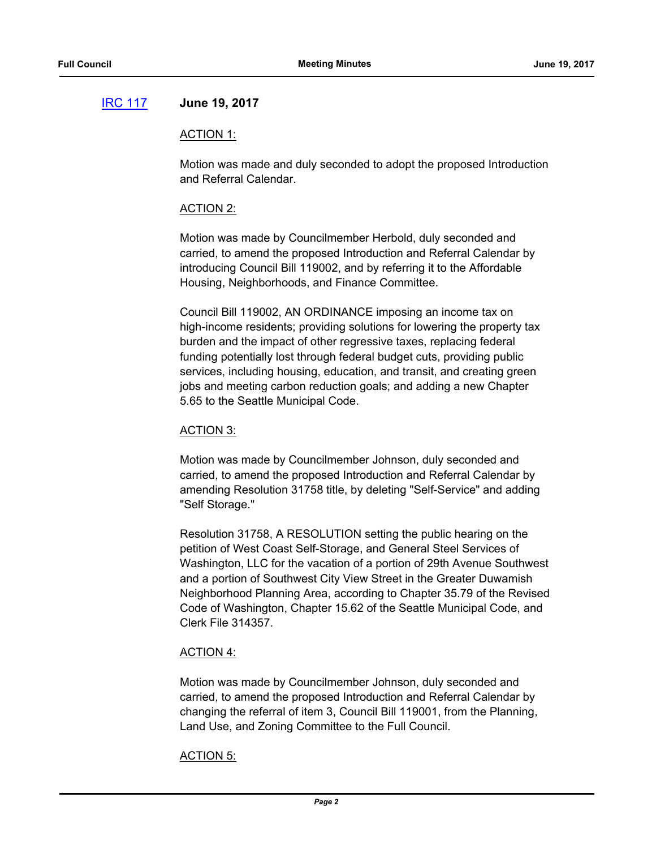## [IRC 117](http://seattle.legistar.com/gateway.aspx?m=l&id=/matter.aspx?key=5653) **June 19, 2017**

#### ACTION 1:

Motion was made and duly seconded to adopt the proposed Introduction and Referral Calendar.

#### ACTION 2:

Motion was made by Councilmember Herbold, duly seconded and carried, to amend the proposed Introduction and Referral Calendar by introducing Council Bill 119002, and by referring it to the Affordable Housing, Neighborhoods, and Finance Committee.

Council Bill 119002, AN ORDINANCE imposing an income tax on high-income residents; providing solutions for lowering the property tax burden and the impact of other regressive taxes, replacing federal funding potentially lost through federal budget cuts, providing public services, including housing, education, and transit, and creating green jobs and meeting carbon reduction goals; and adding a new Chapter 5.65 to the Seattle Municipal Code.

#### ACTION 3:

Motion was made by Councilmember Johnson, duly seconded and carried, to amend the proposed Introduction and Referral Calendar by amending Resolution 31758 title, by deleting "Self-Service" and adding "Self Storage."

Resolution 31758, A RESOLUTION setting the public hearing on the petition of West Coast Self-Storage, and General Steel Services of Washington, LLC for the vacation of a portion of 29th Avenue Southwest and a portion of Southwest City View Street in the Greater Duwamish Neighborhood Planning Area, according to Chapter 35.79 of the Revised Code of Washington, Chapter 15.62 of the Seattle Municipal Code, and Clerk File 314357.

### ACTION 4:

Motion was made by Councilmember Johnson, duly seconded and carried, to amend the proposed Introduction and Referral Calendar by changing the referral of item 3, Council Bill 119001, from the Planning, Land Use, and Zoning Committee to the Full Council.

### ACTION 5: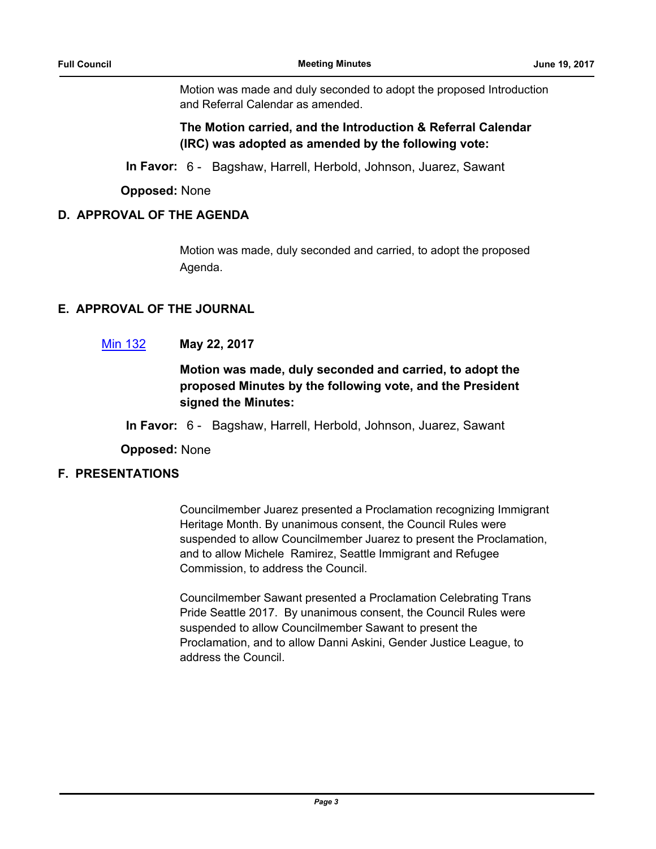Motion was made and duly seconded to adopt the proposed Introduction and Referral Calendar as amended.

**The Motion carried, and the Introduction & Referral Calendar (IRC) was adopted as amended by the following vote:**

**In Favor:** 6 - Bagshaw, Harrell, Herbold, Johnson, Juarez, Sawant

**Opposed:** None

## **D. APPROVAL OF THE AGENDA**

Motion was made, duly seconded and carried, to adopt the proposed Agenda.

## **E. APPROVAL OF THE JOURNAL**

## [Min 132](http://seattle.legistar.com/gateway.aspx?m=l&id=/matter.aspx?key=5654) **May 22, 2017**

## **Motion was made, duly seconded and carried, to adopt the proposed Minutes by the following vote, and the President signed the Minutes:**

**In Favor:** 6 - Bagshaw, Harrell, Herbold, Johnson, Juarez, Sawant

**Opposed:** None

## **F. PRESENTATIONS**

Councilmember Juarez presented a Proclamation recognizing Immigrant Heritage Month. By unanimous consent, the Council Rules were suspended to allow Councilmember Juarez to present the Proclamation, and to allow Michele Ramirez, Seattle Immigrant and Refugee Commission, to address the Council.

Councilmember Sawant presented a Proclamation Celebrating Trans Pride Seattle 2017. By unanimous consent, the Council Rules were suspended to allow Councilmember Sawant to present the Proclamation, and to allow Danni Askini, Gender Justice League, to address the Council.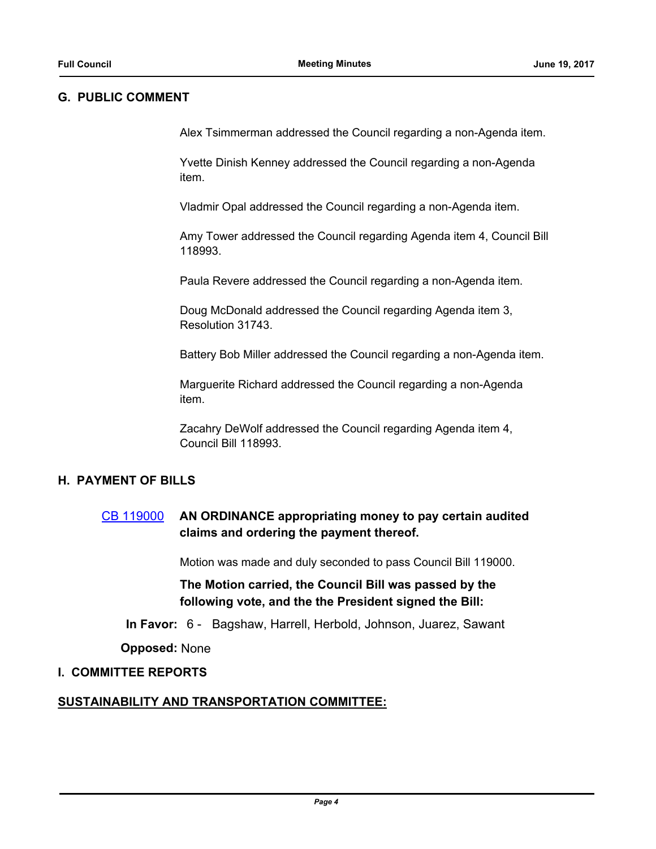### **G. PUBLIC COMMENT**

Alex Tsimmerman addressed the Council regarding a non-Agenda item.

Yvette Dinish Kenney addressed the Council regarding a non-Agenda item.

Vladmir Opal addressed the Council regarding a non-Agenda item.

Amy Tower addressed the Council regarding Agenda item 4, Council Bill 118993.

Paula Revere addressed the Council regarding a non-Agenda item.

Doug McDonald addressed the Council regarding Agenda item 3, Resolution 31743.

Battery Bob Miller addressed the Council regarding a non-Agenda item.

Marguerite Richard addressed the Council regarding a non-Agenda item.

Zacahry DeWolf addressed the Council regarding Agenda item 4, Council Bill 118993.

## **H. PAYMENT OF BILLS**

## [CB 119000](http://seattle.legistar.com/gateway.aspx?m=l&id=/matter.aspx?key=5636) **AN ORDINANCE appropriating money to pay certain audited claims and ordering the payment thereof.**

Motion was made and duly seconded to pass Council Bill 119000.

**The Motion carried, the Council Bill was passed by the following vote, and the the President signed the Bill:**

**In Favor:** 6 - Bagshaw, Harrell, Herbold, Johnson, Juarez, Sawant

**Opposed:** None

### **I. COMMITTEE REPORTS**

## **SUSTAINABILITY AND TRANSPORTATION COMMITTEE:**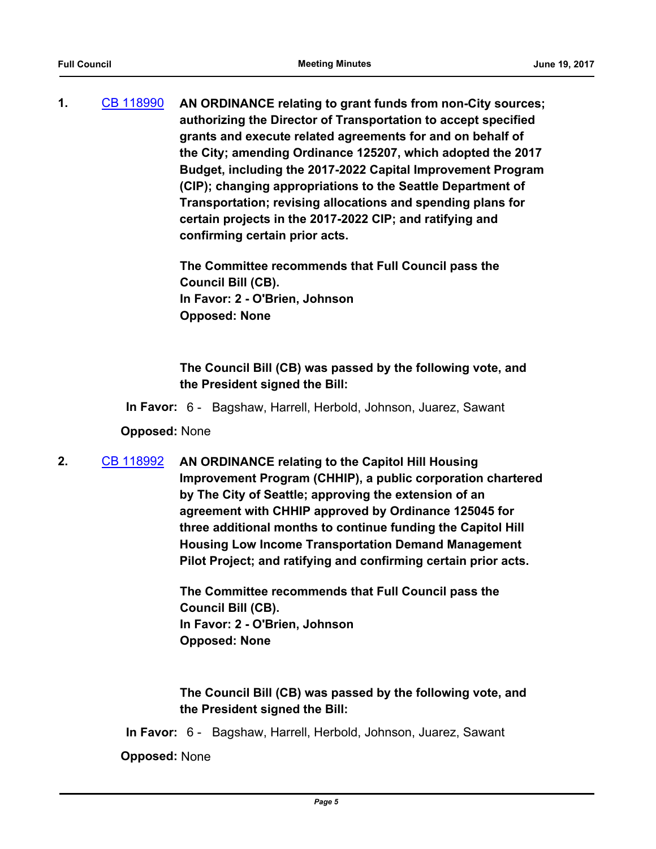**1.** [CB 118990](http://seattle.legistar.com/gateway.aspx?m=l&id=/matter.aspx?key=5351) **AN ORDINANCE relating to grant funds from non-City sources; authorizing the Director of Transportation to accept specified grants and execute related agreements for and on behalf of the City; amending Ordinance 125207, which adopted the 2017 Budget, including the 2017-2022 Capital Improvement Program (CIP); changing appropriations to the Seattle Department of Transportation; revising allocations and spending plans for certain projects in the 2017-2022 CIP; and ratifying and confirming certain prior acts.**

> **The Committee recommends that Full Council pass the Council Bill (CB). In Favor: 2 - O'Brien, Johnson Opposed: None**

**The Council Bill (CB) was passed by the following vote, and the President signed the Bill:**

**In Favor:** 6 - Bagshaw, Harrell, Herbold, Johnson, Juarez, Sawant

**Opposed:** None

**2.** [CB 118992](http://seattle.legistar.com/gateway.aspx?m=l&id=/matter.aspx?key=5524) **AN ORDINANCE relating to the Capitol Hill Housing Improvement Program (CHHIP), a public corporation chartered by The City of Seattle; approving the extension of an agreement with CHHIP approved by Ordinance 125045 for three additional months to continue funding the Capitol Hill Housing Low Income Transportation Demand Management Pilot Project; and ratifying and confirming certain prior acts.**

> **The Committee recommends that Full Council pass the Council Bill (CB). In Favor: 2 - O'Brien, Johnson Opposed: None**

**The Council Bill (CB) was passed by the following vote, and the President signed the Bill:**

**In Favor:** 6 - Bagshaw, Harrell, Herbold, Johnson, Juarez, Sawant

**Opposed:** None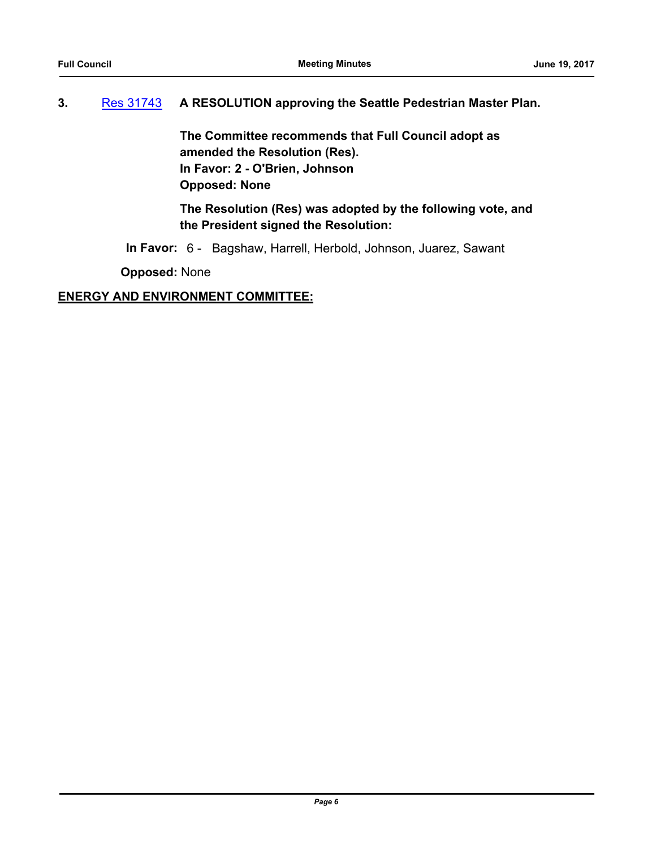# **3.** [Res 31743](http://seattle.legistar.com/gateway.aspx?m=l&id=/matter.aspx?key=5300) **A RESOLUTION approving the Seattle Pedestrian Master Plan.**

**The Committee recommends that Full Council adopt as amended the Resolution (Res). In Favor: 2 - O'Brien, Johnson Opposed: None**

**The Resolution (Res) was adopted by the following vote, and the President signed the Resolution:**

**In Favor:** 6 - Bagshaw, Harrell, Herbold, Johnson, Juarez, Sawant

**Opposed:** None

## **ENERGY AND ENVIRONMENT COMMITTEE:**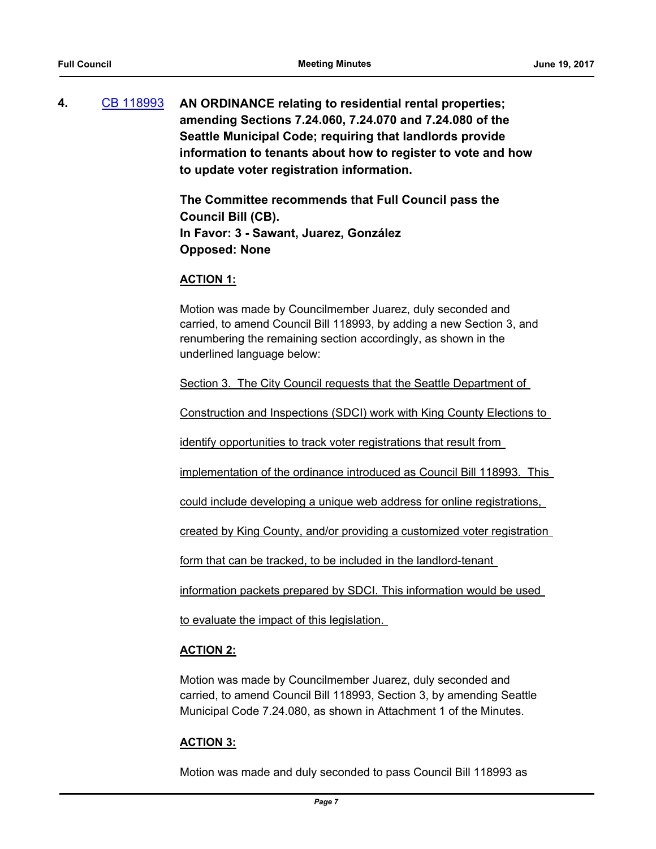**4.** [CB 118993](http://seattle.legistar.com/gateway.aspx?m=l&id=/matter.aspx?key=5536) **AN ORDINANCE relating to residential rental properties; amending Sections 7.24.060, 7.24.070 and 7.24.080 of the Seattle Municipal Code; requiring that landlords provide information to tenants about how to register to vote and how to update voter registration information.**

> **The Committee recommends that Full Council pass the Council Bill (CB). In Favor: 3 - Sawant, Juarez, González Opposed: None**

#### **ACTION 1:**

Motion was made by Councilmember Juarez, duly seconded and carried, to amend Council Bill 118993, by adding a new Section 3, and renumbering the remaining section accordingly, as shown in the underlined language below:

Section 3. The City Council requests that the Seattle Department of

Construction and Inspections (SDCI) work with King County Elections to

identify opportunities to track voter registrations that result from

implementation of the ordinance introduced as Council Bill 118993. This

could include developing a unique web address for online registrations,

created by King County, and/or providing a customized voter registration

form that can be tracked, to be included in the landlord-tenant

information packets prepared by SDCI. This information would be used

to evaluate the impact of this legislation.

### **ACTION 2:**

Motion was made by Councilmember Juarez, duly seconded and carried, to amend Council Bill 118993, Section 3, by amending Seattle Municipal Code 7.24.080, as shown in Attachment 1 of the Minutes.

### **ACTION 3:**

Motion was made and duly seconded to pass Council Bill 118993 as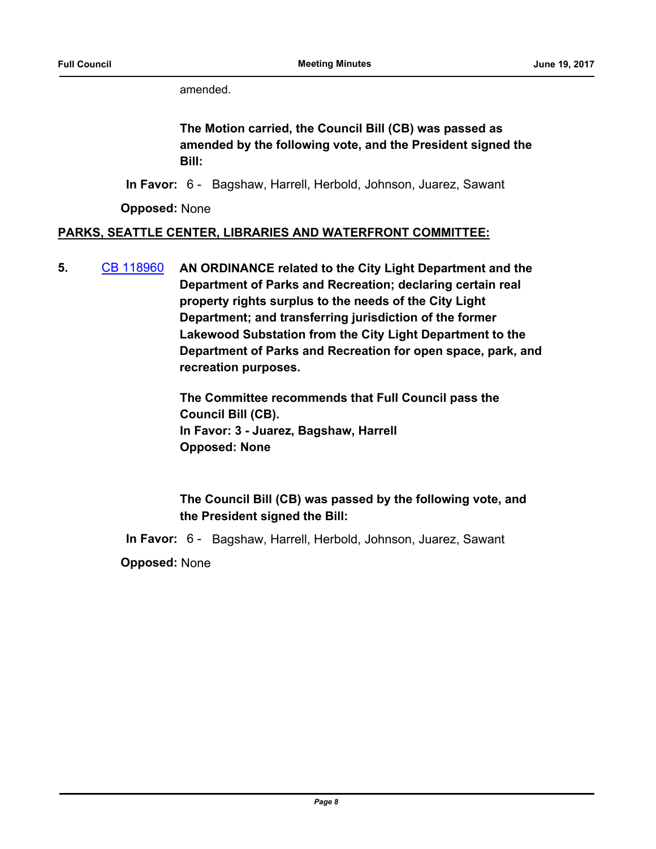amended.

**The Motion carried, the Council Bill (CB) was passed as amended by the following vote, and the President signed the Bill:**

**In Favor:** 6 - Bagshaw, Harrell, Herbold, Johnson, Juarez, Sawant

**Opposed:** None

## **PARKS, SEATTLE CENTER, LIBRARIES AND WATERFRONT COMMITTEE:**

**5.** [CB 118960](http://seattle.legistar.com/gateway.aspx?m=l&id=/matter.aspx?key=5375) **AN ORDINANCE related to the City Light Department and the Department of Parks and Recreation; declaring certain real property rights surplus to the needs of the City Light Department; and transferring jurisdiction of the former Lakewood Substation from the City Light Department to the Department of Parks and Recreation for open space, park, and recreation purposes.**

> **The Committee recommends that Full Council pass the Council Bill (CB). In Favor: 3 - Juarez, Bagshaw, Harrell Opposed: None**

**The Council Bill (CB) was passed by the following vote, and the President signed the Bill:**

**In Favor:** 6 - Bagshaw, Harrell, Herbold, Johnson, Juarez, Sawant

**Opposed:** None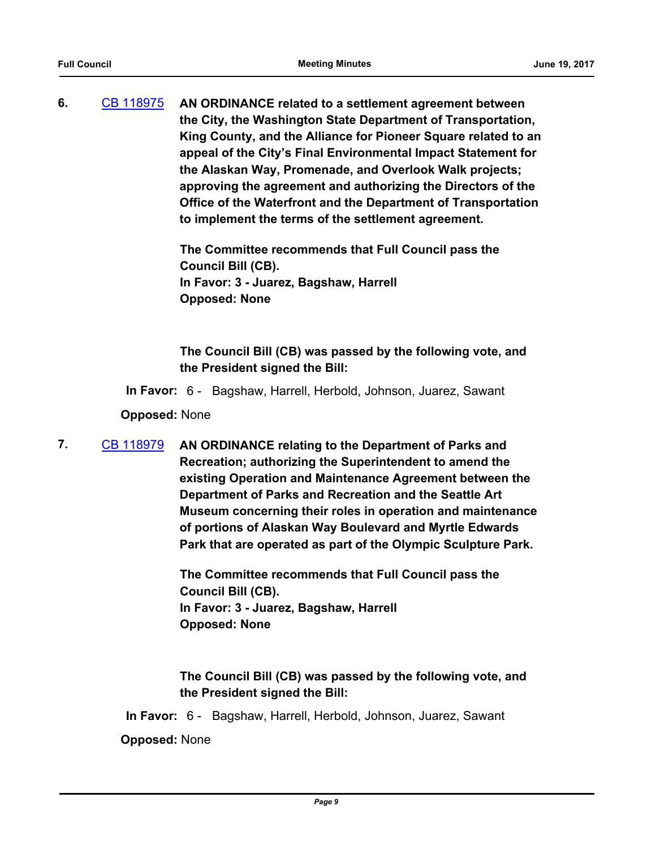**6.** [CB 118975](http://seattle.legistar.com/gateway.aspx?m=l&id=/matter.aspx?key=5459) **AN ORDINANCE related to a settlement agreement between the City, the Washington State Department of Transportation, King County, and the Alliance for Pioneer Square related to an appeal of the City's Final Environmental Impact Statement for the Alaskan Way, Promenade, and Overlook Walk projects; approving the agreement and authorizing the Directors of the Office of the Waterfront and the Department of Transportation to implement the terms of the settlement agreement.**

> **The Committee recommends that Full Council pass the Council Bill (CB). In Favor: 3 - Juarez, Bagshaw, Harrell Opposed: None**

**The Council Bill (CB) was passed by the following vote, and the President signed the Bill:**

**In Favor:** 6 - Bagshaw, Harrell, Herbold, Johnson, Juarez, Sawant

**Opposed:** None

**7.** [CB 118979](http://seattle.legistar.com/gateway.aspx?m=l&id=/matter.aspx?key=4802) **AN ORDINANCE relating to the Department of Parks and Recreation; authorizing the Superintendent to amend the existing Operation and Maintenance Agreement between the Department of Parks and Recreation and the Seattle Art Museum concerning their roles in operation and maintenance of portions of Alaskan Way Boulevard and Myrtle Edwards Park that are operated as part of the Olympic Sculpture Park.**

> **The Committee recommends that Full Council pass the Council Bill (CB). In Favor: 3 - Juarez, Bagshaw, Harrell Opposed: None**

**The Council Bill (CB) was passed by the following vote, and the President signed the Bill:**

**In Favor:** 6 - Bagshaw, Harrell, Herbold, Johnson, Juarez, Sawant

**Opposed:** None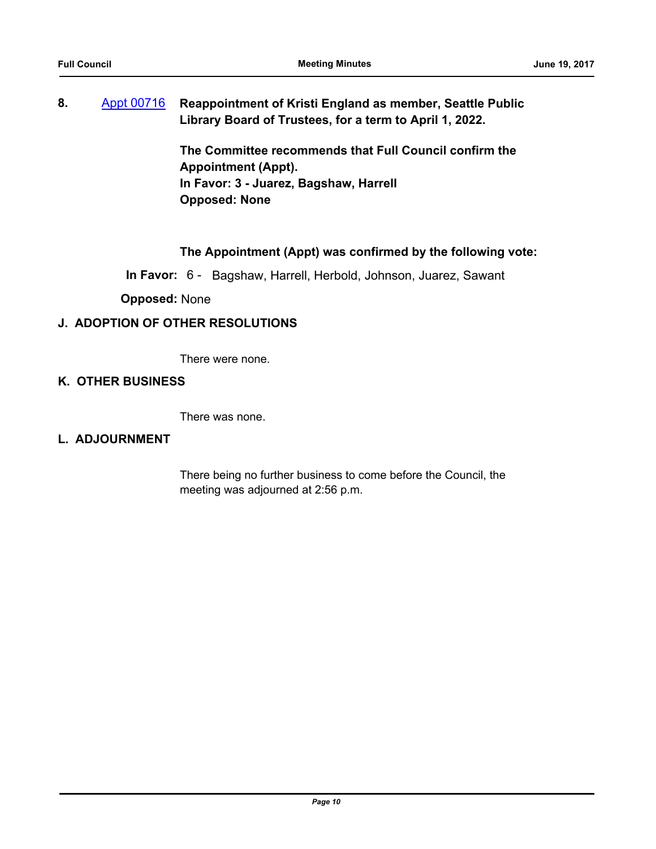## **8.** [Appt 00716](http://seattle.legistar.com/gateway.aspx?m=l&id=/matter.aspx?key=5474) **Reappointment of Kristi England as member, Seattle Public Library Board of Trustees, for a term to April 1, 2022.**

**The Committee recommends that Full Council confirm the Appointment (Appt). In Favor: 3 - Juarez, Bagshaw, Harrell Opposed: None**

## **The Appointment (Appt) was confirmed by the following vote:**

**In Favor:** 6 - Bagshaw, Harrell, Herbold, Johnson, Juarez, Sawant

**Opposed:** None

### **J. ADOPTION OF OTHER RESOLUTIONS**

There were none.

### **K. OTHER BUSINESS**

There was none.

#### **L. ADJOURNMENT**

There being no further business to come before the Council, the meeting was adjourned at 2:56 p.m.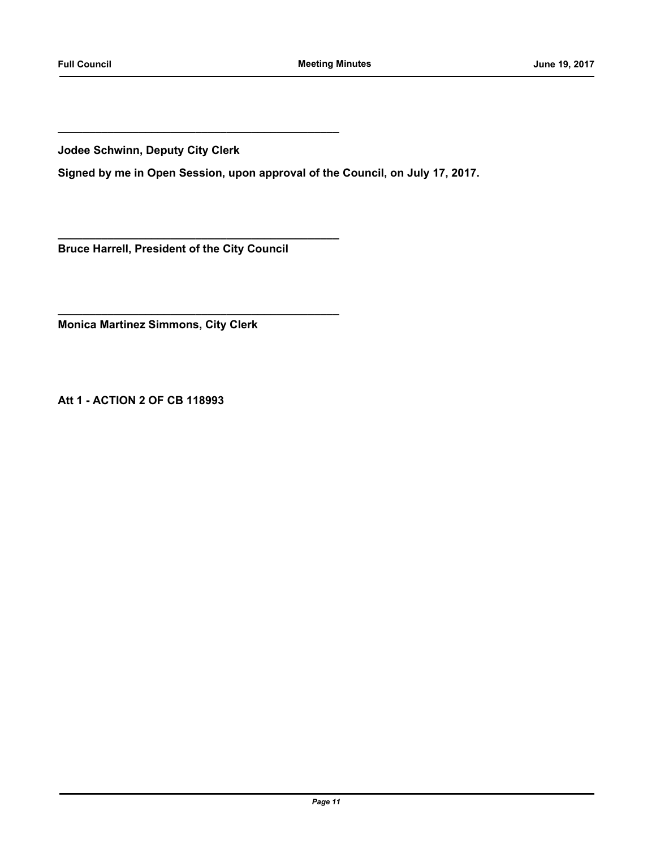**Jodee Schwinn, Deputy City Clerk**

**Signed by me in Open Session, upon approval of the Council, on July 17, 2017.**

**Bruce Harrell, President of the City Council**

**\_\_\_\_\_\_\_\_\_\_\_\_\_\_\_\_\_\_\_\_\_\_\_\_\_\_\_\_\_\_\_\_\_\_\_\_\_\_\_\_\_\_\_\_\_**

**\_\_\_\_\_\_\_\_\_\_\_\_\_\_\_\_\_\_\_\_\_\_\_\_\_\_\_\_\_\_\_\_\_\_\_\_\_\_\_\_\_\_\_\_\_**

**\_\_\_\_\_\_\_\_\_\_\_\_\_\_\_\_\_\_\_\_\_\_\_\_\_\_\_\_\_\_\_\_\_\_\_\_\_\_\_\_\_\_\_\_\_**

**Monica Martinez Simmons, City Clerk**

**Att 1 - ACTION 2 OF CB 118993**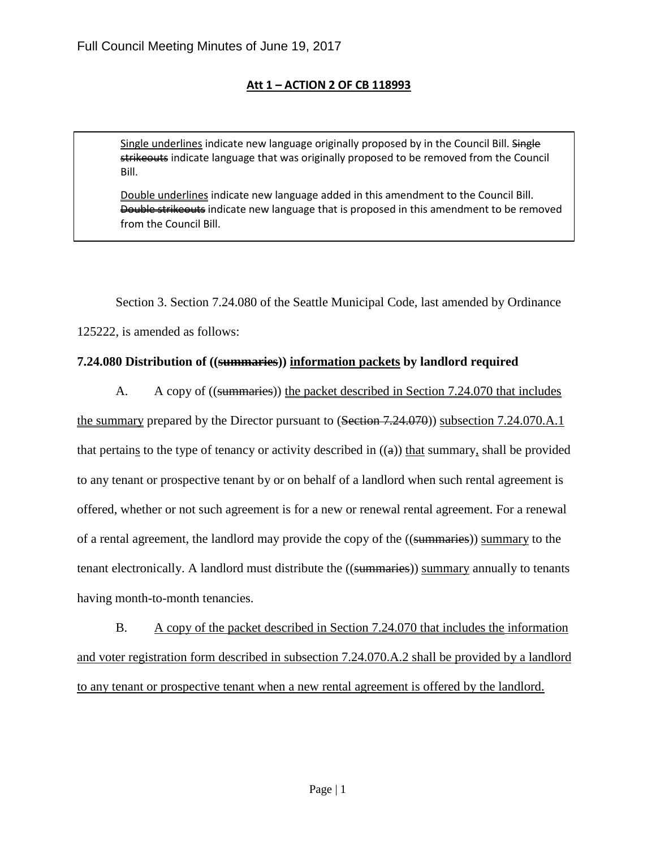## **Att 1 – ACTION 2 OF CB 118993**

Single underlines indicate new language originally proposed by in the Council Bill. Single strikeouts indicate language that was originally proposed to be removed from the Council Bill.

Double underlines indicate new language added in this amendment to the Council Bill. Double strikeouts indicate new language that is proposed in this amendment to be removed from the Council Bill.

Section 3. Section 7.24.080 of the Seattle Municipal Code, last amended by Ordinance

125222, is amended as follows:

## **7.24.080 Distribution of ((summaries)) information packets by landlord required**

A. A copy of ((summaries)) the packet described in Section 7.24.070 that includes

the summary prepared by the Director pursuant to (Section 7.24.070)) subsection 7.24.070.A.1 that pertains to the type of tenancy or activity described in  $((a))$  that summary, shall be provided to any tenant or prospective tenant by or on behalf of a landlord when such rental agreement is offered, whether or not such agreement is for a new or renewal rental agreement. For a renewal of a rental agreement, the landlord may provide the copy of the ((summaries)) summary to the tenant electronically. A landlord must distribute the ((summaries)) summary annually to tenants having month-to-month tenancies.

B. A copy of the packet described in Section 7.24.070 that includes the information and voter registration form described in subsection 7.24.070.A.2 shall be provided by a landlord to any tenant or prospective tenant when a new rental agreement is offered by the landlord.